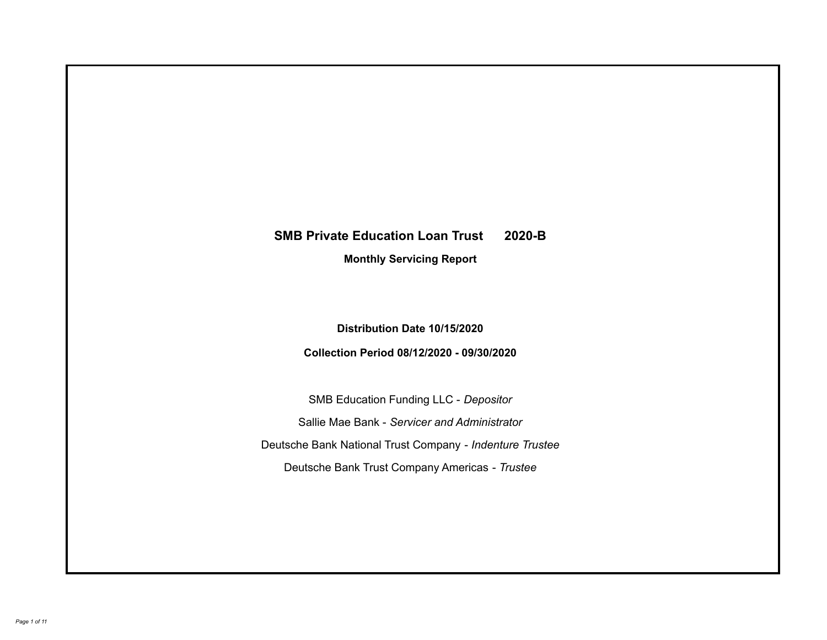# **SMB Private Education Loan Trust 2020-B Monthly Servicing Report**

**Distribution Date 10/15/2020**

**Collection Period 08/12/2020 - 09/30/2020**

SMB Education Funding LLC - *Depositor* Sallie Mae Bank - *Servicer and Administrator* Deutsche Bank National Trust Company - *Indenture Trustee* Deutsche Bank Trust Company Americas - *Trustee*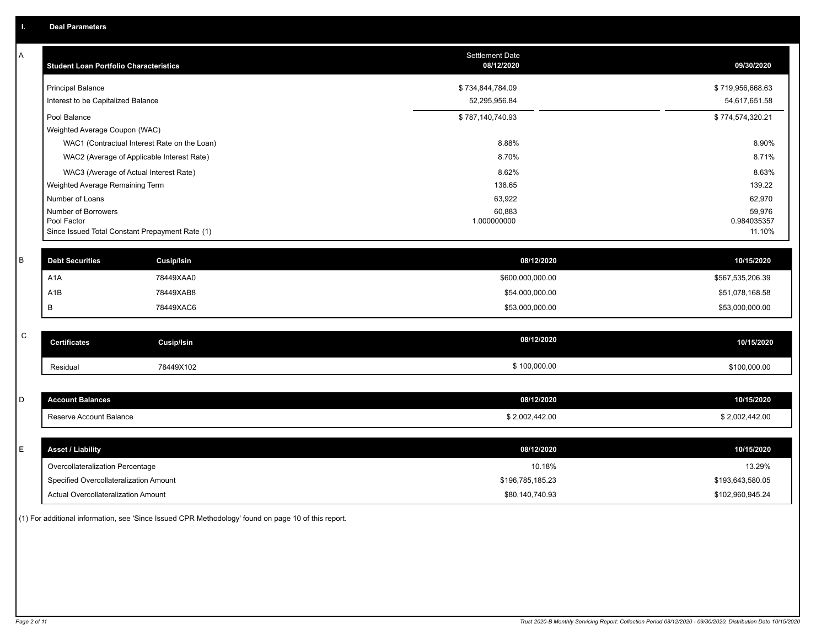| Α           | <b>Student Loan Portfolio Characteristics</b> |                                                 | <b>Settlement Date</b><br>08/12/2020 | 09/30/2020            |
|-------------|-----------------------------------------------|-------------------------------------------------|--------------------------------------|-----------------------|
|             | <b>Principal Balance</b>                      |                                                 | \$734,844,784.09                     | \$719,956,668.63      |
|             | Interest to be Capitalized Balance            |                                                 | 52,295,956.84                        | 54,617,651.58         |
|             | Pool Balance                                  |                                                 | \$787,140,740.93                     | \$774,574,320.21      |
|             | Weighted Average Coupon (WAC)                 |                                                 |                                      |                       |
|             |                                               | WAC1 (Contractual Interest Rate on the Loan)    | 8.88%                                | 8.90%                 |
|             |                                               | WAC2 (Average of Applicable Interest Rate)      | 8.70%                                | 8.71%                 |
|             |                                               | WAC3 (Average of Actual Interest Rate)          | 8.62%                                | 8.63%                 |
|             | Weighted Average Remaining Term               |                                                 | 138.65                               | 139.22                |
|             | Number of Loans                               |                                                 | 63,922                               | 62,970                |
|             | Number of Borrowers                           |                                                 | 60,883                               | 59,976                |
|             | Pool Factor                                   | Since Issued Total Constant Prepayment Rate (1) | 1.000000000                          | 0.984035357<br>11.10% |
|             |                                               |                                                 |                                      |                       |
| B           | <b>Debt Securities</b>                        | Cusip/Isin                                      | 08/12/2020                           | 10/15/2020            |
|             | A <sub>1</sub> A                              | 78449XAA0                                       | \$600,000,000.00                     | \$567,535,206.39      |
|             | A <sub>1</sub> B                              | 78449XAB8                                       | \$54,000,000.00                      | \$51,078,168.58       |
|             | B                                             | 78449XAC6                                       | \$53,000,000.00                      | \$53,000,000.00       |
|             |                                               |                                                 |                                      |                       |
| $\mathsf C$ | <b>Certificates</b>                           | <b>Cusip/Isin</b>                               | 08/12/2020                           | 10/15/2020            |
|             | Residual                                      | 78449X102                                       | \$100,000.00                         | \$100,000.00          |
|             |                                               |                                                 |                                      |                       |
| D           | <b>Account Balances</b>                       |                                                 | 08/12/2020                           | 10/15/2020            |
|             | Reserve Account Balance                       |                                                 | \$2,002,442.00                       | \$2,002,442.00        |
|             |                                               |                                                 |                                      |                       |
| E.          | <b>Asset / Liability</b>                      |                                                 | 08/12/2020                           | 10/15/2020            |
|             | Overcollateralization Percentage              |                                                 | 10.18%                               | 13.29%                |
|             | Specified Overcollateralization Amount        |                                                 | \$196,785,185.23                     | \$193,643,580.05      |
|             | Actual Overcollateralization Amount           |                                                 | \$80,140,740.93                      | \$102,960,945.24      |

(1) For additional information, see 'Since Issued CPR Methodology' found on page 10 of this report.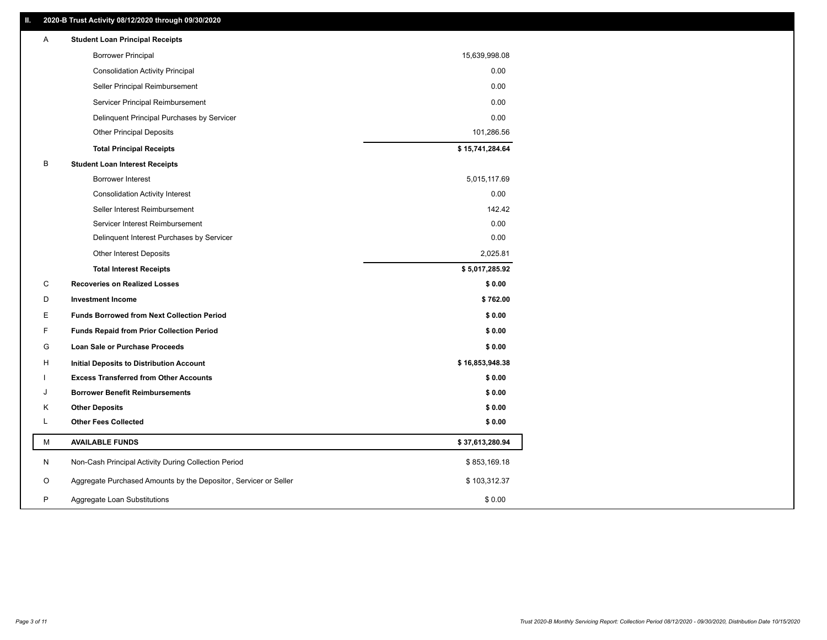| Α  | <b>Student Loan Principal Receipts</b>                           |                 |
|----|------------------------------------------------------------------|-----------------|
|    | <b>Borrower Principal</b>                                        | 15,639,998.08   |
|    | <b>Consolidation Activity Principal</b>                          | 0.00            |
|    | Seller Principal Reimbursement                                   | 0.00            |
|    | Servicer Principal Reimbursement                                 | 0.00            |
|    | Delinquent Principal Purchases by Servicer                       | 0.00            |
|    | <b>Other Principal Deposits</b>                                  | 101,286.56      |
|    | <b>Total Principal Receipts</b>                                  | \$15,741,284.64 |
| В  | <b>Student Loan Interest Receipts</b>                            |                 |
|    | <b>Borrower Interest</b>                                         | 5,015,117.69    |
|    | <b>Consolidation Activity Interest</b>                           | 0.00            |
|    | Seller Interest Reimbursement                                    | 142.42          |
|    | Servicer Interest Reimbursement                                  | 0.00            |
|    | Delinquent Interest Purchases by Servicer                        | 0.00            |
|    | Other Interest Deposits                                          | 2,025.81        |
|    | <b>Total Interest Receipts</b>                                   | \$5,017,285.92  |
| C  | <b>Recoveries on Realized Losses</b>                             | \$0.00          |
| D  | <b>Investment Income</b>                                         | \$762.00        |
| Е  | <b>Funds Borrowed from Next Collection Period</b>                | \$0.00          |
| F. | <b>Funds Repaid from Prior Collection Period</b>                 | \$0.00          |
| G  | Loan Sale or Purchase Proceeds                                   | \$0.00          |
| н  | Initial Deposits to Distribution Account                         | \$16,853,948.38 |
|    | <b>Excess Transferred from Other Accounts</b>                    | \$0.00          |
| J  | <b>Borrower Benefit Reimbursements</b>                           | \$0.00          |
| Κ  | <b>Other Deposits</b>                                            | \$0.00          |
| L  | <b>Other Fees Collected</b>                                      | \$0.00          |
| М  | <b>AVAILABLE FUNDS</b>                                           | \$37,613,280.94 |
| N  | Non-Cash Principal Activity During Collection Period             | \$853,169.18    |
| O  | Aggregate Purchased Amounts by the Depositor, Servicer or Seller | \$103,312.37    |
| P  | Aggregate Loan Substitutions                                     | \$0.00          |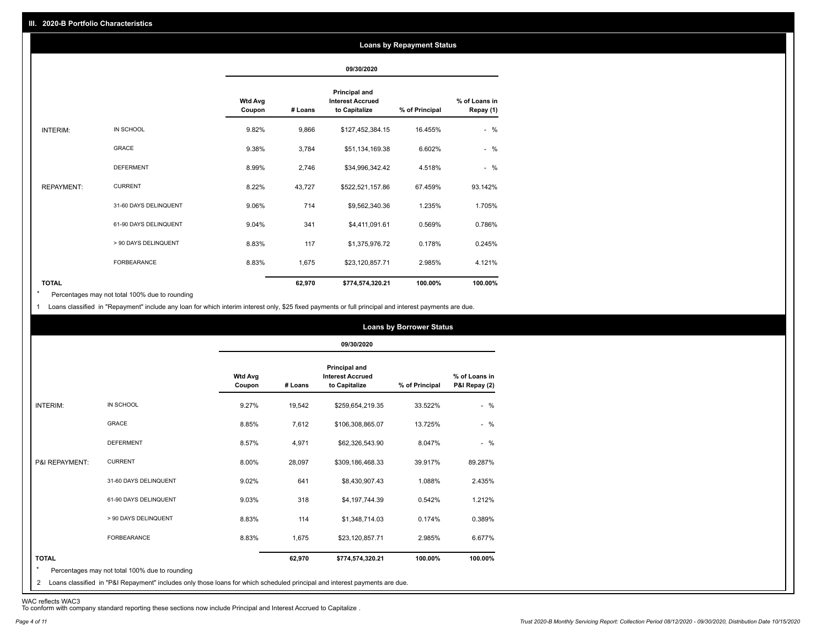#### **Loans by Repayment Status**

|                   |                       |                          | 09/30/2020 |                                                                  |                |                            |
|-------------------|-----------------------|--------------------------|------------|------------------------------------------------------------------|----------------|----------------------------|
|                   |                       | <b>Wtd Avg</b><br>Coupon | # Loans    | <b>Principal and</b><br><b>Interest Accrued</b><br>to Capitalize | % of Principal | % of Loans in<br>Repay (1) |
| INTERIM:          | IN SCHOOL             | 9.82%                    | 9,866      | \$127,452,384.15                                                 | 16.455%        | $-$ %                      |
|                   | <b>GRACE</b>          | 9.38%                    | 3,784      | \$51,134,169.38                                                  | 6.602%         | $-$ %                      |
|                   | <b>DEFERMENT</b>      | 8.99%                    | 2,746      | \$34,996,342.42                                                  | 4.518%         | $-$ %                      |
| <b>REPAYMENT:</b> | <b>CURRENT</b>        | 8.22%                    | 43,727     | \$522,521,157.86                                                 | 67.459%        | 93.142%                    |
|                   | 31-60 DAYS DELINQUENT | 9.06%                    | 714        | \$9,562,340.36                                                   | 1.235%         | 1.705%                     |
|                   | 61-90 DAYS DELINQUENT | 9.04%                    | 341        | \$4,411,091.61                                                   | 0.569%         | 0.786%                     |
|                   | > 90 DAYS DELINQUENT  | 8.83%                    | 117        | \$1,375,976.72                                                   | 0.178%         | 0.245%                     |
|                   | <b>FORBEARANCE</b>    | 8.83%                    | 1,675      | \$23,120,857.71                                                  | 2.985%         | 4.121%                     |
| <b>TOTAL</b>      |                       |                          | 62,970     | \$774,574,320.21                                                 | 100.00%        | 100.00%                    |

Percentages may not total 100% due to rounding \*

1 Loans classified in "Repayment" include any loan for which interim interest only, \$25 fixed payments or full principal and interest payments are due.

|                |                       |                          |         | 09/30/2020                                                       |                |                                |
|----------------|-----------------------|--------------------------|---------|------------------------------------------------------------------|----------------|--------------------------------|
|                |                       | <b>Wtd Avg</b><br>Coupon | # Loans | <b>Principal and</b><br><b>Interest Accrued</b><br>to Capitalize | % of Principal | % of Loans in<br>P&I Repay (2) |
| INTERIM:       | IN SCHOOL             | 9.27%                    | 19,542  | \$259,654,219.35                                                 | 33.522%        | $-$ %                          |
|                | <b>GRACE</b>          | 8.85%                    | 7,612   | \$106,308,865.07                                                 | 13.725%        | $-$ %                          |
|                | <b>DEFERMENT</b>      | 8.57%                    | 4,971   | \$62,326,543.90                                                  | 8.047%         | $-$ %                          |
| P&I REPAYMENT: | <b>CURRENT</b>        | 8.00%                    | 28,097  | \$309,186,468.33                                                 | 39.917%        | 89.287%                        |
|                | 31-60 DAYS DELINQUENT | 9.02%                    | 641     | \$8,430,907.43                                                   | 1.088%         | 2.435%                         |
|                | 61-90 DAYS DELINQUENT | 9.03%                    | 318     | \$4,197,744.39                                                   | 0.542%         | 1.212%                         |
|                | > 90 DAYS DELINQUENT  | 8.83%                    | 114     | \$1,348,714.03                                                   | 0.174%         | 0.389%                         |
|                | <b>FORBEARANCE</b>    | 8.83%                    | 1,675   | \$23,120,857.71                                                  | 2.985%         | 6.677%                         |
| <b>TOTAL</b>   |                       |                          | 62,970  | \$774,574,320.21                                                 | 100.00%        | 100.00%                        |

2 Loans classified in "P&I Repayment" includes only those loans for which scheduled principal and interest payments are due.

WAC reflects WAC3 To conform with company standard reporting these sections now include Principal and Interest Accrued to Capitalize .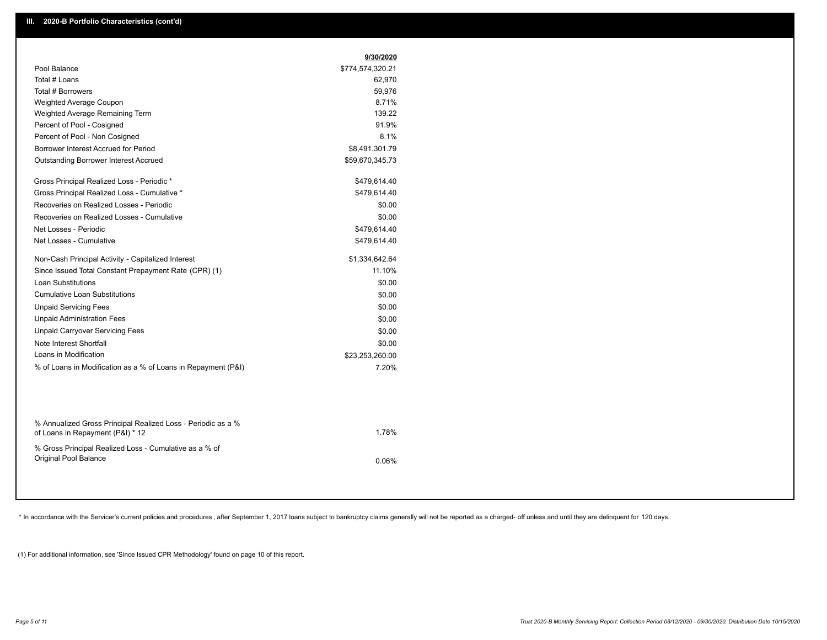|                                                       | 9/30/2020        |
|-------------------------------------------------------|------------------|
| Pool Balance                                          | \$774,574,320.21 |
| Total # Loans                                         | 62,970           |
| Total # Borrowers                                     | 59,976           |
| Weighted Average Coupon                               | 8.71%            |
| Weighted Average Remaining Term                       | 139.22           |
| Percent of Pool - Cosigned                            | 91.9%            |
| Percent of Pool - Non Cosigned                        | 8.1%             |
| Borrower Interest Accrued for Period                  | \$8,491,301.79   |
| Outstanding Borrower Interest Accrued                 | \$59,670,345.73  |
| Gross Principal Realized Loss - Periodic *            | \$479,614.40     |
| Gross Principal Realized Loss - Cumulative *          | \$479,614.40     |
| Recoveries on Realized Losses - Periodic              | \$0.00           |
| Recoveries on Realized Losses - Cumulative            | \$0.00           |
| Net Losses - Periodic                                 | \$479,614.40     |
| Net Losses - Cumulative                               | \$479,614.40     |
| Non-Cash Principal Activity - Capitalized Interest    | \$1,334,642.64   |
| Since Issued Total Constant Prepayment Rate (CPR) (1) | 11.10%           |
| <b>Loan Substitutions</b>                             | \$0.00           |
| <b>Cumulative Loan Substitutions</b>                  | \$0.00           |
| <b>Unpaid Servicing Fees</b>                          | \$0.00           |
| <b>Unpaid Administration Fees</b>                     | \$0.00           |
| <b>Unpaid Carryover Servicing Fees</b>                | \$0.00           |
| Note Interest Shortfall                               | \$0.00           |
|                                                       | \$23,253,260.00  |
| Loans in Modification                                 | 7.20%            |

| % Annualized Gross Principal Realized Loss - Periodic as a %<br>of Loans in Repayment (P&I) * 12 | 1.78% |
|--------------------------------------------------------------------------------------------------|-------|
| % Gross Principal Realized Loss - Cumulative as a % of<br>Original Pool Balance                  | 0.06% |

\* In accordance with the Servicer's current policies and procedures, after September 1, 2017 loans subject to bankruptcy claims generally will not be reported as a charged- off unless and until they are delinquent for 120

(1) For additional information, see 'Since Issued CPR Methodology' found on page 10 of this report.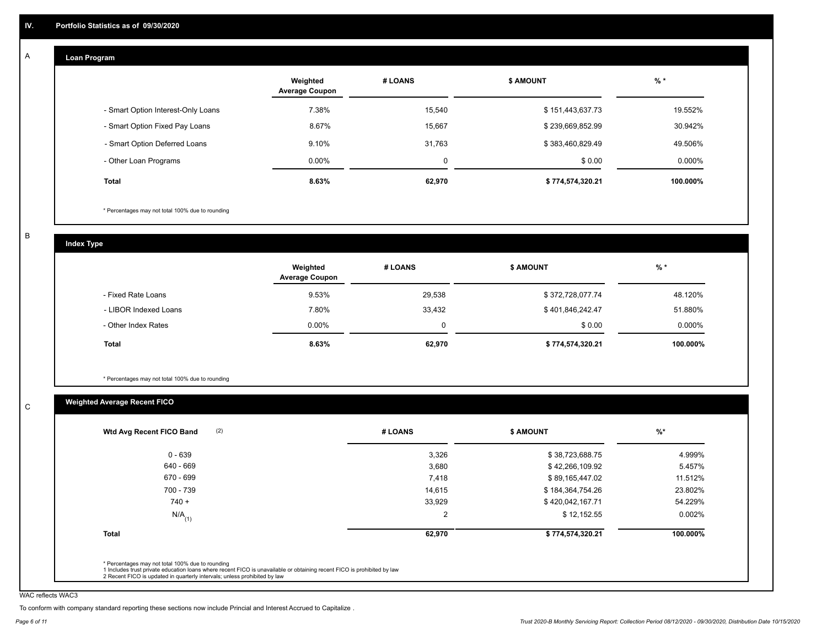#### **Loan Program**  A

|                                    | Weighted<br><b>Average Coupon</b> | # LOANS | <b>\$ AMOUNT</b> | $%$ *     |
|------------------------------------|-----------------------------------|---------|------------------|-----------|
| - Smart Option Interest-Only Loans | 7.38%                             | 15,540  | \$151,443,637.73 | 19.552%   |
| - Smart Option Fixed Pay Loans     | 8.67%                             | 15,667  | \$239,669,852.99 | 30.942%   |
| - Smart Option Deferred Loans      | 9.10%                             | 31.763  | \$383,460,829.49 | 49.506%   |
| - Other Loan Programs              | $0.00\%$                          | 0       | \$0.00           | $0.000\%$ |
| <b>Total</b>                       | 8.63%                             | 62,970  | \$774,574,320.21 | 100.000%  |

\* Percentages may not total 100% due to rounding

B

C

**Index Type**

|                       | Weighted<br><b>Average Coupon</b> | # LOANS | <b>\$ AMOUNT</b> | $%$ *    |
|-----------------------|-----------------------------------|---------|------------------|----------|
| - Fixed Rate Loans    | 9.53%                             | 29,538  | \$372,728,077.74 | 48.120%  |
| - LIBOR Indexed Loans | 7.80%                             | 33,432  | \$401,846,242.47 | 51.880%  |
| - Other Index Rates   | $0.00\%$                          |         | \$0.00           | 0.000%   |
| <b>Total</b>          | 8.63%                             | 62,970  | \$774,574,320.21 | 100.000% |

\* Percentages may not total 100% due to rounding

## **Weighted Average Recent FICO**

| $0 - 639$            | 3,326  | \$38,723,688.75  | 4.999%   |
|----------------------|--------|------------------|----------|
| 640 - 669            | 3,680  | \$42,266,109.92  | 5.457%   |
| 670 - 699            | 7,418  | \$89,165,447.02  | 11.512%  |
| 700 - 739            | 14,615 | \$184,364,754.26 | 23.802%  |
| $740 +$              | 33,929 | \$420,042,167.71 | 54.229%  |
| $N/A$ <sub>(1)</sub> | 2      | \$12,152.55      | 0.002%   |
| <b>Total</b>         | 62,970 | \$774,574,320.21 | 100.000% |

WAC reflects WAC3

To conform with company standard reporting these sections now include Princial and Interest Accrued to Capitalize .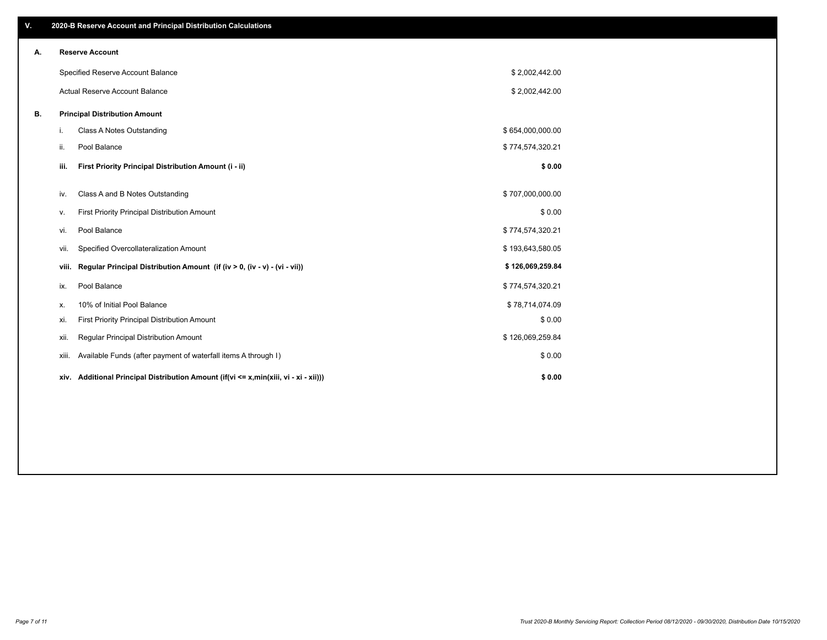| V. |       | 2020-B Reserve Account and Principal Distribution Calculations                  |                  |  |
|----|-------|---------------------------------------------------------------------------------|------------------|--|
| Α. |       | <b>Reserve Account</b>                                                          |                  |  |
|    |       | Specified Reserve Account Balance                                               | \$2,002,442.00   |  |
|    |       | Actual Reserve Account Balance                                                  | \$2,002,442.00   |  |
| В. |       | <b>Principal Distribution Amount</b>                                            |                  |  |
|    | j.    | Class A Notes Outstanding                                                       | \$654,000,000.00 |  |
|    | ii.   | Pool Balance                                                                    | \$774,574,320.21 |  |
|    | iii.  | First Priority Principal Distribution Amount (i - ii)                           | \$0.00           |  |
|    | iv.   | Class A and B Notes Outstanding                                                 | \$707,000,000.00 |  |
|    | v.    | First Priority Principal Distribution Amount                                    | \$0.00           |  |
|    | vi.   | Pool Balance                                                                    | \$774,574,320.21 |  |
|    | vii.  | Specified Overcollateralization Amount                                          | \$193,643,580.05 |  |
|    | viii. | Regular Principal Distribution Amount (if (iv > 0, (iv - v) - (vi - vii))       | \$126,069,259.84 |  |
|    | ix.   | Pool Balance                                                                    | \$774,574,320.21 |  |
|    | х.    | 10% of Initial Pool Balance                                                     | \$78,714,074.09  |  |
|    | xi.   | First Priority Principal Distribution Amount                                    | \$0.00           |  |
|    | xii.  | Regular Principal Distribution Amount                                           | \$126,069,259.84 |  |
|    | xiii. | Available Funds (after payment of waterfall items A through I)                  | \$0.00           |  |
|    | xiv.  | Additional Principal Distribution Amount (if(vi <= x,min(xiii, vi - xi - xii))) | \$0.00           |  |
|    |       |                                                                                 |                  |  |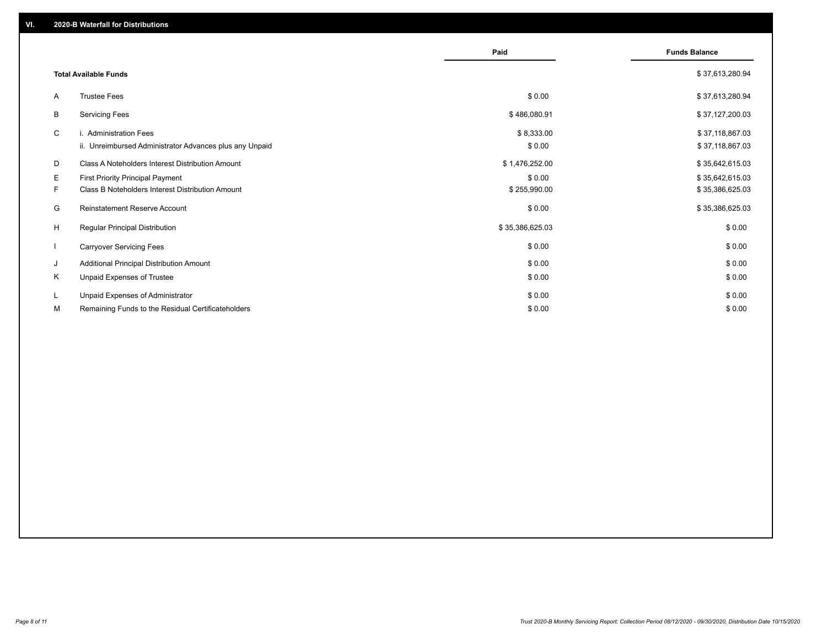|    |                                                         | Paid            | <b>Funds Balance</b> |
|----|---------------------------------------------------------|-----------------|----------------------|
|    | <b>Total Available Funds</b>                            |                 | \$37,613,280.94      |
| A  | <b>Trustee Fees</b>                                     | \$0.00          | \$37,613,280.94      |
| В  | <b>Servicing Fees</b>                                   | \$486,080.91    | \$37,127,200.03      |
| C  | i. Administration Fees                                  | \$8,333.00      | \$37,118,867.03      |
|    | ii. Unreimbursed Administrator Advances plus any Unpaid | \$0.00          | \$37,118,867.03      |
| D  | Class A Noteholders Interest Distribution Amount        | \$1,476,252.00  | \$35,642,615.03      |
| Е  | <b>First Priority Principal Payment</b>                 | \$0.00          | \$35,642,615.03      |
| F. | Class B Noteholders Interest Distribution Amount        | \$255,990.00    | \$35,386,625.03      |
| G  | <b>Reinstatement Reserve Account</b>                    | \$0.00          | \$35,386,625.03      |
| H  | Regular Principal Distribution                          | \$35,386,625.03 | \$0.00               |
|    | <b>Carryover Servicing Fees</b>                         | \$0.00          | \$0.00               |
| J  | Additional Principal Distribution Amount                | \$0.00          | \$0.00               |
| Κ  | Unpaid Expenses of Trustee                              | \$0.00          | \$0.00               |
| L  | Unpaid Expenses of Administrator                        | \$0.00          | \$0.00               |
| М  | Remaining Funds to the Residual Certificateholders      | \$0.00          | \$0.00               |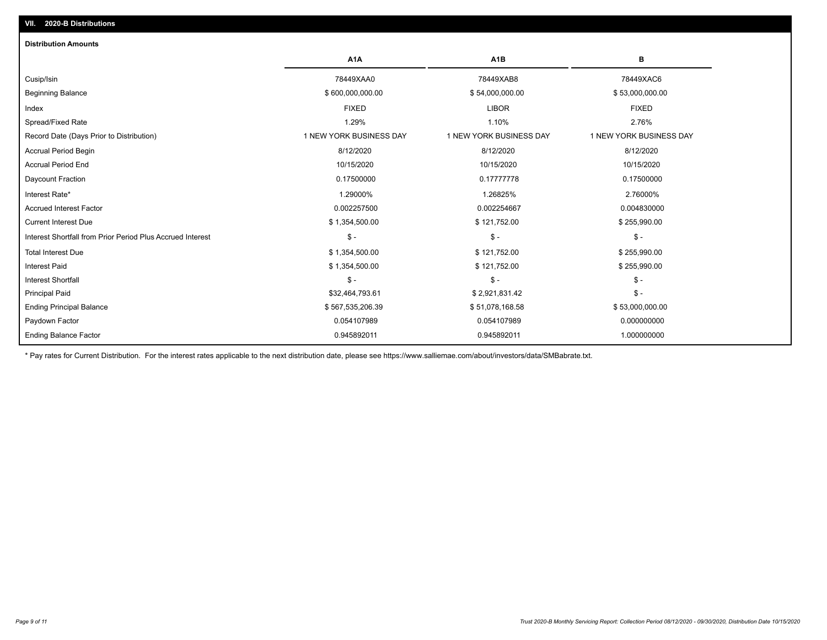### **VII. 2020-B Distributions**

| <b>Distribution Amounts</b>                                |                         |                         |                         |
|------------------------------------------------------------|-------------------------|-------------------------|-------------------------|
|                                                            | A <sub>1</sub> A        | A <sub>1</sub> B        | в                       |
| Cusip/Isin                                                 | 78449XAA0               | 78449XAB8               | 78449XAC6               |
| <b>Beginning Balance</b>                                   | \$600,000,000.00        | \$54,000,000.00         | \$53,000,000.00         |
| Index                                                      | <b>FIXED</b>            | <b>LIBOR</b>            | <b>FIXED</b>            |
| Spread/Fixed Rate                                          | 1.29%                   | 1.10%                   | 2.76%                   |
| Record Date (Days Prior to Distribution)                   | 1 NEW YORK BUSINESS DAY | 1 NEW YORK BUSINESS DAY | 1 NEW YORK BUSINESS DAY |
| <b>Accrual Period Begin</b>                                | 8/12/2020               | 8/12/2020               | 8/12/2020               |
| <b>Accrual Period End</b>                                  | 10/15/2020              | 10/15/2020              | 10/15/2020              |
| Daycount Fraction                                          | 0.17500000              | 0.17777778              | 0.17500000              |
| Interest Rate*                                             | 1.29000%                | 1.26825%                | 2.76000%                |
| <b>Accrued Interest Factor</b>                             | 0.002257500             | 0.002254667             | 0.004830000             |
| <b>Current Interest Due</b>                                | \$1,354,500.00          | \$121,752.00            | \$255,990.00            |
| Interest Shortfall from Prior Period Plus Accrued Interest | $\mathsf{\$}$ -         | $\frac{1}{2}$           | $\mathsf{\$}$ -         |
| <b>Total Interest Due</b>                                  | \$1,354,500.00          | \$121,752.00            | \$255,990.00            |
| <b>Interest Paid</b>                                       | \$1,354,500.00          | \$121,752.00            | \$255,990.00            |
| <b>Interest Shortfall</b>                                  | $\frac{1}{2}$           | $$ -$                   | $\mathsf{\$}$ -         |
| <b>Principal Paid</b>                                      | \$32,464,793.61         | \$2,921,831.42          | $\mathsf{\$}$ -         |
| <b>Ending Principal Balance</b>                            | \$567,535,206.39        | \$51,078,168.58         | \$53,000,000.00         |
| Paydown Factor                                             | 0.054107989             | 0.054107989             | 0.000000000             |
| <b>Ending Balance Factor</b>                               | 0.945892011             | 0.945892011             | 1.000000000             |

\* Pay rates for Current Distribution. For the interest rates applicable to the next distribution date, please see https://www.salliemae.com/about/investors/data/SMBabrate.txt.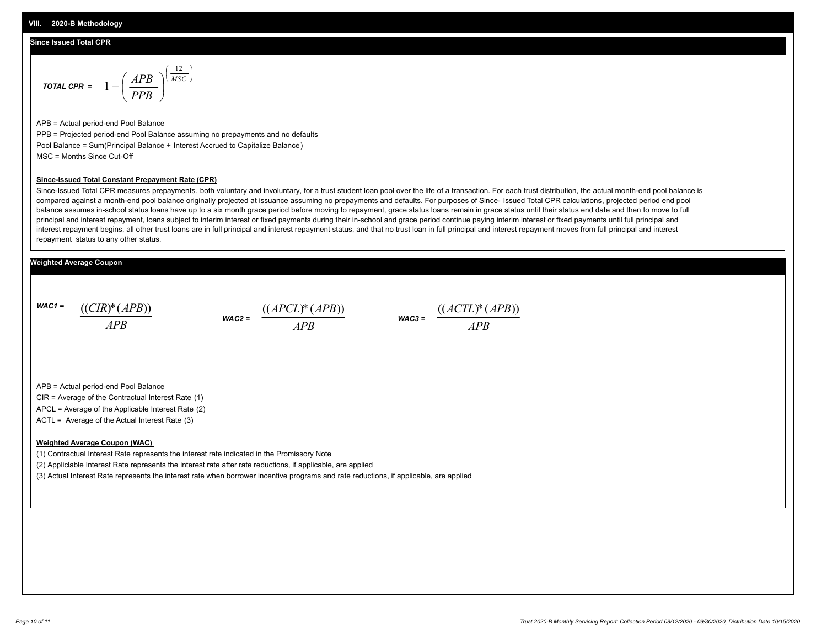#### **Since Issued Total CPR**

$$
\text{total CPR} = 1 - \left(\frac{APB}{PPB}\right)^{\left(\frac{12}{MSC}\right)}
$$

APB = Actual period-end Pool Balance PPB = Projected period-end Pool Balance assuming no prepayments and no defaults Pool Balance = Sum(Principal Balance + Interest Accrued to Capitalize Balance) MSC = Months Since Cut-Off

#### **Since-Issued Total Constant Prepayment Rate (CPR)**

Since-Issued Total CPR measures prepayments, both voluntary and involuntary, for a trust student loan pool over the life of a transaction. For each trust distribution, the actual month-end pool balance is compared against a month-end pool balance originally projected at issuance assuming no prepayments and defaults. For purposes of Since- Issued Total CPR calculations, projected period end pool balance assumes in-school status loans have up to a six month grace period before moving to repayment, grace status loans remain in grace status until their status end date and then to move to full principal and interest repayment, loans subject to interim interest or fixed payments during their in-school and grace period continue paying interim interest or fixed payments until full principal and interest repayment begins, all other trust loans are in full principal and interest repayment status, and that no trust loan in full principal and interest repayment moves from full principal and interest repayment status to any other status.

#### **Weighted Average Coupon**

*WAC1 = APB* ((*CIR*)\*(*APB*))

*WAC2 = APB*  $\frac{((APCL)^{*}(APB))}{APB}$  wac<sub>3</sub> =  $\frac{((ACTL)^{*}(A)P}{APB}$ 



APB = Actual period-end Pool Balance

CIR = Average of the Contractual Interest Rate (1)

APCL = Average of the Applicable Interest Rate (2)

ACTL = Average of the Actual Interest Rate (3)

#### **Weighted Average Coupon (WAC)**

(1) Contractual Interest Rate represents the interest rate indicated in the Promissory Note

(2) Appliclable Interest Rate represents the interest rate after rate reductions, if applicable, are applied

(3) Actual Interest Rate represents the interest rate when borrower incentive programs and rate reductions, if applicable, are applied